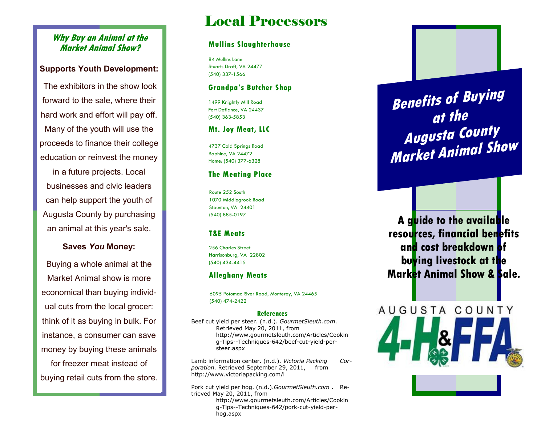# **Why Buy an Animal at the Market Animal Show?**

# **Supports Youth Development:**

The exhibitors in the show look forward to the sale, where their hard work and effort will pay off. Many of the youth will use the proceeds to finance their college education or reinvest the money

in a future projects. Local businesses and civic leaders can help support the youth of Augusta County by purchasing an animal at this year's sale.

## **Saves** *You* **Money:**

Buying a whole animal at the Market Animal show is more economical than buying individual cuts from the local grocer: think of it as buying in bulk. For instance, a consumer can save money by buying these animals for freezer meat instead of buying retail cuts from the store.

# Local Processors

#### **Mullins Slaughterhouse**

84 Mullins Lane Stuarts Draft, VA 24477 (540) 337-1566

#### **Grandpa's Butcher Shop**

1499 Knightly Mill Road Fort Defiance, VA 24437 (540) 363-5853

#### **Mt. Joy Meat, LLC**

4737 Cold Springs Road Raphine, VA 24472 Home: (540) 377-6328

#### **The Meating Place**

Route 252 South 1070 Middlegrook Road Staunton, VA 24401 (540) 885-0197

#### **T&E Meats**

256 Charles Street Harrisonburg, VA 22802 (540) 434-4415

## **Alleghany Meats**

6095 Potomac River Road, Monterey, VA 24465 (540) 474-2422

#### **References**

Beef cut yield per steer. (n.d.). *GourmetSleuth.com*. Retrieved May 20, 2011, from http://www.gourmetsleuth.com/Articles/Cookin g-Tips--Techniques-642/beef-cut-yield-persteer.aspx

Lamb information center. (n.d.). *Victoria Packing Corporation*. Retrieved September 29, 2011, from http://www.victoriapacking.com/l

Pork cut yield per hog. (n.d.).*GourmetSleuth.com* . Retrieved May 20, 2011, from http://www.gourmetsleuth.com/Articles/Cookin

g-Tips--Techniques-642/pork-cut-yield-perhog.aspx

**Benefits of Buying at the Augusta County Market Animal Show**

**A guide to the available resources, financial benefits and cost breakdown of buying livestock at the Market Animal Show & Sale.**

AUGUSTA COUNTY